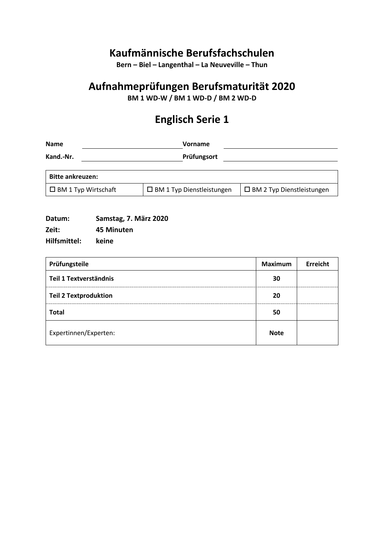## **Kaufmännische Berufsfachschulen**

**Bern – Biel – Langenthal – La Neuveville – Thun**

# **Aufnahmeprüfungen Berufsmaturität 2020**

**BM 1 WD-W / BM 1 WD-D / BM 2 WD-D**

# **Englisch Serie 1**

| <b>Name</b>                | <b>Vorname</b>                   |                                     |
|----------------------------|----------------------------------|-------------------------------------|
| Kand.-Nr.                  | Prüfungsort                      |                                     |
|                            |                                  |                                     |
| <b>Bitte ankreuzen:</b>    |                                  |                                     |
| $\Box$ BM 1 Typ Wirtschaft | $\Box$ BM 1 Typ Dienstleistungen | $\square$ BM 2 Typ Dienstleistungen |

| Datum:       | Samstag, 7. März 2020 |
|--------------|-----------------------|
| Zeit:        | 45 Minuten            |
| Hilfsmittel: | keine                 |

| Prüfungsteile<br><b>Maximum</b> |             | Erreicht |
|---------------------------------|-------------|----------|
| Teil 1 Textverständnis          | 30          |          |
| <b>Teil 2 Textproduktion</b>    | 20          |          |
| <b>Total</b>                    | 50          |          |
| Expertinnen/Experten:           | <b>Note</b> |          |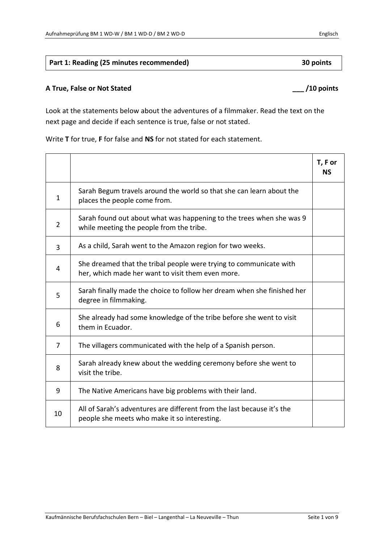## **A True, False or Not Stated \_\_\_ /10 points**

Look at the statements below about the adventures of a filmmaker. Read the text on the next page and decide if each sentence is true, false or not stated.

Write **T** for true, **F** for false and **NS** for not stated for each statement.

|                |                                                                                                                         | T, F or<br><b>NS</b> |
|----------------|-------------------------------------------------------------------------------------------------------------------------|----------------------|
| $\mathbf{1}$   | Sarah Begum travels around the world so that she can learn about the<br>places the people come from.                    |                      |
| $\overline{2}$ | Sarah found out about what was happening to the trees when she was 9<br>while meeting the people from the tribe.        |                      |
| 3              | As a child, Sarah went to the Amazon region for two weeks.                                                              |                      |
| 4              | She dreamed that the tribal people were trying to communicate with<br>her, which made her want to visit them even more. |                      |
| 5              | Sarah finally made the choice to follow her dream when she finished her<br>degree in filmmaking.                        |                      |
| 6              | She already had some knowledge of the tribe before she went to visit<br>them in Ecuador.                                |                      |
| 7              | The villagers communicated with the help of a Spanish person.                                                           |                      |
| 8              | Sarah already knew about the wedding ceremony before she went to<br>visit the tribe.                                    |                      |
| 9              | The Native Americans have big problems with their land.                                                                 |                      |
| 10             | All of Sarah's adventures are different from the last because it's the<br>people she meets who make it so interesting.  |                      |

## **Part 1: Reading (25 minutes recommended) 30 points**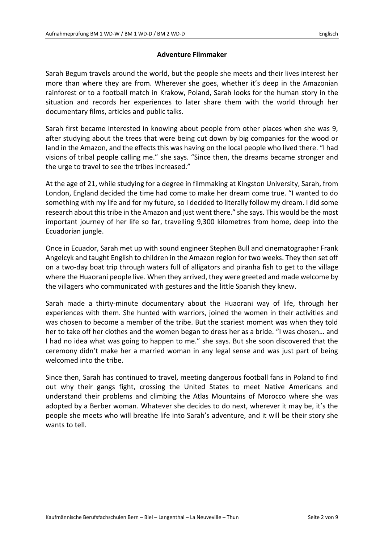## **Adventure Filmmaker**

Sarah Begum travels around the world, but the people she meets and their lives interest her more than where they are from. Wherever she goes, whether it's deep in the Amazonian rainforest or to a football match in Krakow, Poland, Sarah looks for the human story in the situation and records her experiences to later share them with the world through her documentary films, articles and public talks.

Sarah first became interested in knowing about people from other places when she was 9, after studying about the trees that were being cut down by big companies for the wood or land in the Amazon, and the effects this was having on the local people who lived there. "I had visions of tribal people calling me." she says. "Since then, the dreams became stronger and the urge to travel to see the tribes increased."

At the age of 21, while studying for a degree in filmmaking at Kingston University, Sarah, from London, England decided the time had come to make her dream come true. "I wanted to do something with my life and for my future, so I decided to literally follow my dream. I did some research about this tribe in the Amazon and just went there." she says. This would be the most important journey of her life so far, travelling 9,300 kilometres from home, deep into the Ecuadorian jungle.

Once in Ecuador, Sarah met up with sound engineer Stephen Bull and cinematographer Frank Angelcyk and taught English to children in the Amazon region for two weeks. They then set off on a two-day boat trip through waters full of alligators and piranha fish to get to the village where the Huaorani people live. When they arrived, they were greeted and made welcome by the villagers who communicated with gestures and the little Spanish they knew.

Sarah made a thirty-minute documentary about the Huaorani way of life, through her experiences with them. She hunted with warriors, joined the women in their activities and was chosen to become a member of the tribe. But the scariest moment was when they told her to take off her clothes and the women began to dress her as a bride. "I was chosen… and I had no idea what was going to happen to me." she says. But she soon discovered that the ceremony didn't make her a married woman in any legal sense and was just part of being welcomed into the tribe.

Since then, Sarah has continued to travel, meeting dangerous football fans in Poland to find out why their gangs fight, crossing the United States to meet Native Americans and understand their problems and climbing the Atlas Mountains of Morocco where she was adopted by a Berber woman. Whatever she decides to do next, wherever it may be, it's the people she meets who will breathe life into Sarah's adventure, and it will be their story she wants to tell.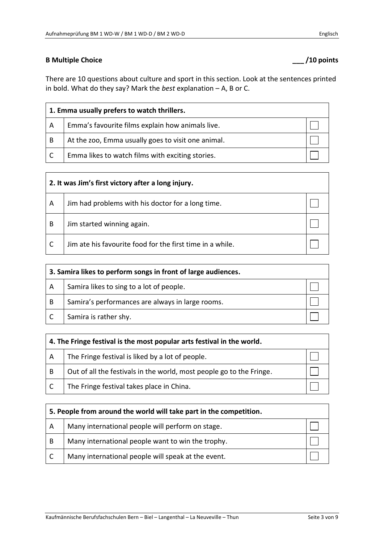## **B Multiple Choice \_\_\_ /10 points**

There are 10 questions about culture and sport in this section. Look at the sentences printed in bold. What do they say? Mark the *best* explanation – A, B or C.

| 1. Emma usually prefers to watch thrillers. |                                                    |  |
|---------------------------------------------|----------------------------------------------------|--|
| A                                           | Emma's favourite films explain how animals live.   |  |
| B                                           | At the zoo, Emma usually goes to visit one animal. |  |
|                                             | Emma likes to watch films with exciting stories.   |  |

| 2. It was Jim's first victory after a long injury. |                                                           |  |
|----------------------------------------------------|-----------------------------------------------------------|--|
| A                                                  | Jim had problems with his doctor for a long time.         |  |
| B                                                  | Jim started winning again.                                |  |
|                                                    | Jim ate his favourite food for the first time in a while. |  |

| 3. Samira likes to perform songs in front of large audiences. |                                                  |  |
|---------------------------------------------------------------|--------------------------------------------------|--|
| A                                                             | Samira likes to sing to a lot of people.         |  |
| B                                                             | Samira's performances are always in large rooms. |  |
|                                                               | Samira is rather shy.                            |  |

| 4. The Fringe festival is the most popular arts festival in the world. |                                                                      |  |
|------------------------------------------------------------------------|----------------------------------------------------------------------|--|
| A                                                                      | The Fringe festival is liked by a lot of people.                     |  |
| B                                                                      | Out of all the festivals in the world, most people go to the Fringe. |  |
|                                                                        | The Fringe festival takes place in China.                            |  |

| 5. People from around the world will take part in the competition. |                                                    |  |
|--------------------------------------------------------------------|----------------------------------------------------|--|
| A                                                                  | Many international people will perform on stage.   |  |
| B                                                                  | Many international people want to win the trophy.  |  |
|                                                                    | Many international people will speak at the event. |  |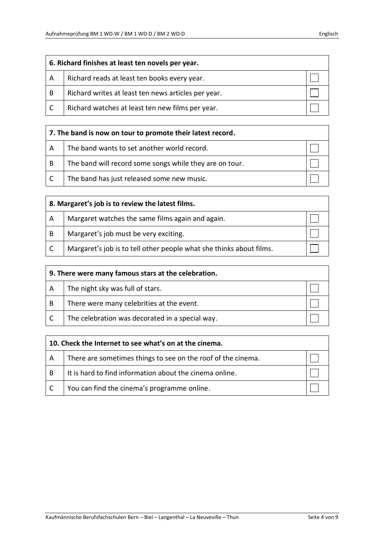| 6. Richard finishes at least ten novels per year. |                                                     |  |
|---------------------------------------------------|-----------------------------------------------------|--|
| $\overline{\mathsf{A}}$                           | Richard reads at least ten books every year.        |  |
| B                                                 | Richard writes at least ten news articles per year. |  |
|                                                   | Richard watches at least ten new films per year.    |  |

| 7. The band is now on tour to promote their latest record. |                                                         |  |
|------------------------------------------------------------|---------------------------------------------------------|--|
| $\overline{A}$                                             | The band wants to set another world record.             |  |
| l B                                                        | The band will record some songs while they are on tour. |  |
|                                                            | The band has just released some new music.              |  |

| 8. Margaret's job is to review the latest films. |                                                                     |  |
|--------------------------------------------------|---------------------------------------------------------------------|--|
| A                                                | Margaret watches the same films again and again.                    |  |
| B                                                | Margaret's job must be very exciting.                               |  |
|                                                  | Margaret's job is to tell other people what she thinks about films. |  |

| 9. There were many famous stars at the celebration. |                                                 |  |  |  |
|-----------------------------------------------------|-------------------------------------------------|--|--|--|
| $\overline{A}$                                      | The night sky was full of stars.                |  |  |  |
| B                                                   | There were many celebrities at the event.       |  |  |  |
|                                                     | The celebration was decorated in a special way. |  |  |  |

| 10. Check the Internet to see what's on at the cinema. |                                                              |  |  |  |
|--------------------------------------------------------|--------------------------------------------------------------|--|--|--|
| $\overline{A}$                                         | There are sometimes things to see on the roof of the cinema. |  |  |  |
| $\overline{B}$                                         | It is hard to find information about the cinema online.      |  |  |  |
| l C                                                    | You can find the cinema's programme online.                  |  |  |  |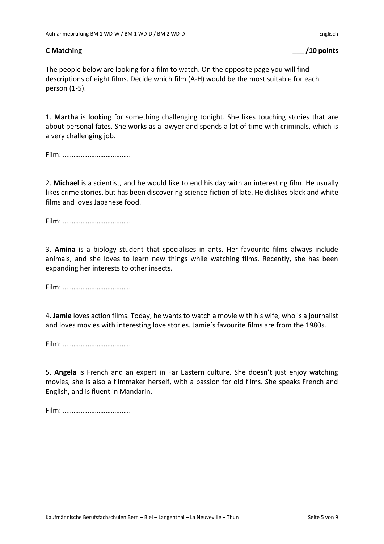**C Matching \_\_\_ /10 points**

The people below are looking for a film to watch. On the opposite page you will find descriptions of eight films. Decide which film (A-H) would be the most suitable for each person (1-5).

1. **Martha** is looking for something challenging tonight. She likes touching stories that are about personal fates. She works as a lawyer and spends a lot of time with criminals, which is a very challenging job.

Film: ………………………………..

2. **Michael** is a scientist, and he would like to end his day with an interesting film. He usually likes crime stories, but has been discovering science-fiction of late. He dislikes black and white films and loves Japanese food.

Film: ………………………………..

3. **Amina** is a biology student that specialises in ants. Her favourite films always include animals, and she loves to learn new things while watching films. Recently, she has been expanding her interests to other insects.

Film: ………………………………..

4. **Jamie** loves action films. Today, he wants to watch a movie with his wife, who is a journalist and loves movies with interesting love stories. Jamie's favourite films are from the 1980s.

Film: ………………………………..

5. **Angela** is French and an expert in Far Eastern culture. She doesn't just enjoy watching movies, she is also a filmmaker herself, with a passion for old films. She speaks French and English, and is fluent in Mandarin.

Film: ………………………………..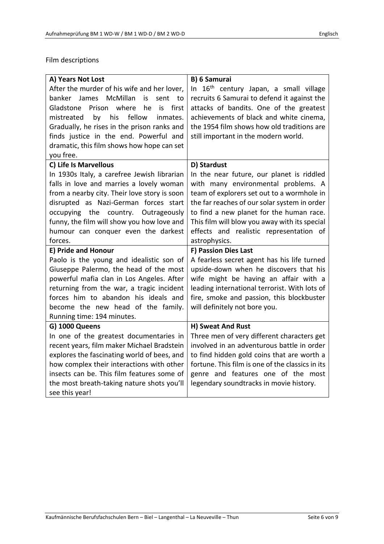## Film descriptions

| A) Years Not Lost                            | <b>B) 6 Samurai</b>                                |  |
|----------------------------------------------|----------------------------------------------------|--|
| After the murder of his wife and her lover,  | In 16 <sup>th</sup> century Japan, a small village |  |
| banker James McMillan<br>is<br>sent<br>to    | recruits 6 Samurai to defend it against the        |  |
| Gladstone Prison where<br>first<br>he<br>is. | attacks of bandits. One of the greatest            |  |
| by<br>his fellow<br>inmates.<br>mistreated   | achievements of black and white cinema,            |  |
| Gradually, he rises in the prison ranks and  | the 1954 film shows how old traditions are         |  |
| finds justice in the end. Powerful and       | still important in the modern world.               |  |
| dramatic, this film shows how hope can set   |                                                    |  |
| you free.                                    |                                                    |  |
| C) Life Is Marvellous                        | D) Stardust                                        |  |
| In 1930s Italy, a carefree Jewish librarian  | In the near future, our planet is riddled          |  |
| falls in love and marries a lovely woman     | with many environmental problems. A                |  |
| from a nearby city. Their love story is soon | team of explorers set out to a wormhole in         |  |
| disrupted as Nazi-German forces start        | the far reaches of our solar system in order       |  |
| occupying the country. Outrageously          | to find a new planet for the human race.           |  |
| funny, the film will show you how love and   | This film will blow you away with its special      |  |
| humour can conquer even the darkest          | effects and realistic representation of            |  |
| forces.                                      | astrophysics.                                      |  |
| E) Pride and Honour                          | F) Passion Dies Last                               |  |
| Paolo is the young and idealistic son of     | A fearless secret agent has his life turned        |  |
| Giuseppe Palermo, the head of the most       | upside-down when he discovers that his             |  |
| powerful mafia clan in Los Angeles. After    | wife might be having an affair with a              |  |
| returning from the war, a tragic incident    | leading international terrorist. With lots of      |  |
| forces him to abandon his ideals and         | fire, smoke and passion, this blockbuster          |  |
| become the new head of the family.           | will definitely not bore you.                      |  |
| Running time: 194 minutes.                   |                                                    |  |
| <b>G) 1000 Queens</b>                        | H) Sweat And Rust                                  |  |
| In one of the greatest documentaries in      | Three men of very different characters get         |  |
| recent years, film maker Michael Bradstein   | involved in an adventurous battle in order         |  |
| explores the fascinating world of bees, and  | to find hidden gold coins that are worth a         |  |
| how complex their interactions with other    | fortune. This film is one of the classics in its   |  |
| insects can be. This film features some of   | genre and features one of the most                 |  |
| the most breath-taking nature shots you'll   | legendary soundtracks in movie history.            |  |
| see this year!                               |                                                    |  |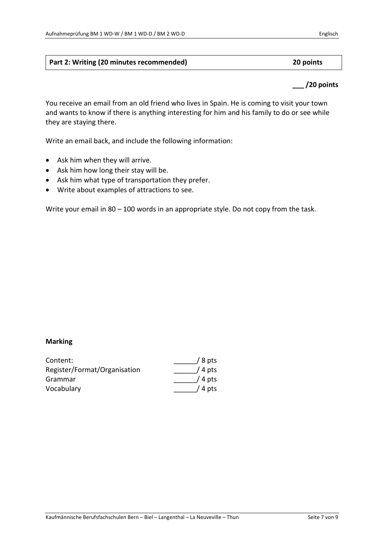### **Part 2: Writing (20 minutes recommended) 20 points**

### **\_\_\_ /20 points**

You receive an email from an old friend who lives in Spain. He is coming to visit your town and wants to know if there is anything interesting for him and his family to do or see while they are staying there.

Write an email back, and include the following information:

- Ask him when they will arrive.
- Ask him how long their stay will be.
- Ask him what type of transportation they prefer.
- Write about examples of attractions to see.

Write your email in 80 – 100 words in an appropriate style. Do not copy from the task.

### **Marking**

| Content:                     | $/ 8$ pts |
|------------------------------|-----------|
| Register/Format/Organisation | $/4$ pts  |
| Grammar                      | $/4$ pts  |
| Vocabulary                   | $/4$ pts  |